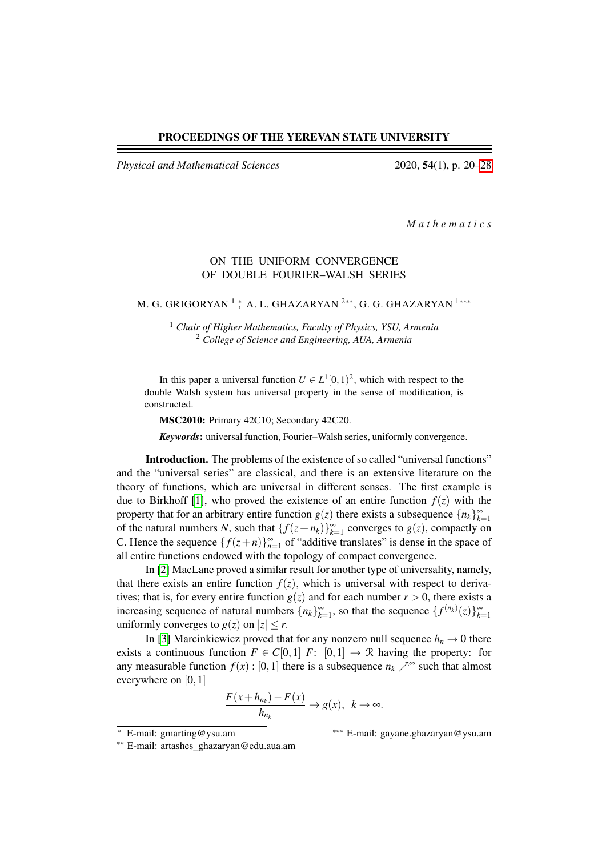#### PROCEEDINGS OF THE YEREVAN STATE UNIVERSITY

*Physical and Mathematical Sciences* 2020, 54(1), p. 20[–28](#page-8-0)

*M a t h e m a t i c s*

## ON THE UNIFORM CONVERGENCE OF DOUBLE FOURIER–WALSH SERIES

M. G. GRIGORYAN<sup>1</sup>; A. L. GHAZARYAN<sup>2\*\*</sup>, G. G. GHAZARYAN<sup>1\*\*\*</sup>

<sup>1</sup> *Chair of Higher Mathematics, Faculty of Physics, YSU, Armenia* <sup>2</sup> *College of Science and Engineering, AUA, Armenia*

In this paper a universal function  $U \in L^1[0,1)^2$ , which with respect to the double Walsh system has universal property in the sense of modification, is constructed.

MSC2010: Primary 42C10; Secondary 42C20.

*Keywords*: universal function, Fourier–Walsh series, uniformly convergence.

Introduction. The problems of the existence of so called "universal functions" and the "universal series" are classical, and there is an extensive literature on the theory of functions, which are universal in different senses. The first example is due to Birkhoff [\[1\]](#page-7-0), who proved the existence of an entire function  $f(z)$  with the property that for an arbitrary entire function  $g(z)$  there exists a subsequence  $\{n_k\}_{k=1}^{\infty}$ of the natural numbers *N*, such that  $\{f(z+n_k)\}_{k=1}^{\infty}$  converges to  $g(z)$ , compactly on C. Hence the sequence  $\{f(z+n)\}_{n=1}^{\infty}$  of "additive translates" is dense in the space of all entire functions endowed with the topology of compact convergence.

In [\[2\]](#page-7-1) MacLane proved a similar result for another type of universality, namely, that there exists an entire function  $f(z)$ , which is universal with respect to derivatives; that is, for every entire function  $g(z)$  and for each number  $r > 0$ , there exists a increasing sequence of natural numbers  $\{n_k\}_{k=1}^{\infty}$ , so that the sequence  $\{f^{(n_k)}(z)\}_{k=1}^{\infty}$ uniformly converges to  $g(z)$  on  $|z| \le r$ .

In [\[3\]](#page-7-2) Marcinkiewicz proved that for any nonzero null sequence  $h_n \to 0$  there exists a continuous function  $F \in C[0,1]$  *F*:  $[0,1] \rightarrow \mathbb{R}$  having the property: for any measurable function  $f(x) : [0,1]$  there is a subsequence  $n_k \nearrow^{\infty}$  such that almost everywhere on [0, 1]

$$
\frac{F(x+h_{n_k})-F(x)}{h_{n_k}} \to g(x), \ \ k \to \infty.
$$

<sup>∗</sup> E-mail: gmarting@ysu.am ∗∗∗ E-mail: gayane.ghazaryan@ysu.am

∗∗ E-mail: artashes\_ghazaryan@edu.aua.am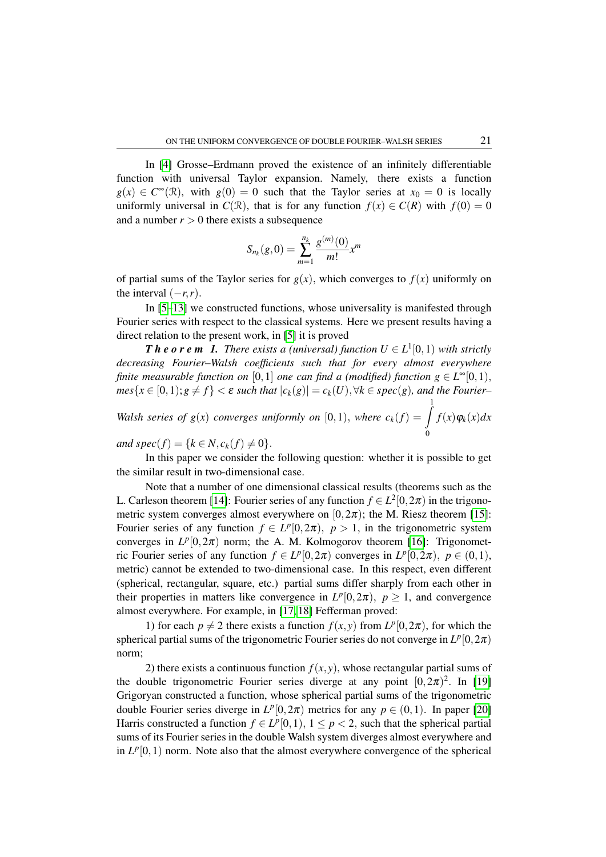In [\[4\]](#page-7-3) Grosse–Erdmann proved the existence of an infinitely differentiable function with universal Taylor expansion. Namely, there exists a function  $g(x) \in C^{\infty}(\mathbb{R})$ , with  $g(0) = 0$  such that the Taylor series at  $x_0 = 0$  is locally uniformly universal in  $C(\mathcal{R})$ , that is for any function  $f(x) \in C(\mathcal{R})$  with  $f(0) = 0$ and a number  $r > 0$  there exists a subsequence

$$
S_{n_k}(g,0)=\sum_{m=1}^{n_k}\frac{g^{(m)}(0)}{m!}x^m
$$

of partial sums of the Taylor series for  $g(x)$ , which converges to  $f(x)$  uniformly on the interval  $(-r, r)$ .

In [\[5–](#page-7-4)[13\]](#page-7-5) we constructed functions, whose universality is manifested through Fourier series with respect to the classical systems. Here we present results having a direct relation to the present work, in [\[5\]](#page-7-4) it is proved

*T* **h e o r e m 1.** There exists a (universal) function  $U \in L^1[0,1)$  with strictly *decreasing Fourier–Walsh coefficients such that for every almost everywhere finite measurable function on*  $[0,1]$  *one can find a (modified) function*  $g \in L^{\infty}[0,1)$ ,  $mes{x \in [0,1); g \neq f} < \varepsilon$  *such that*  $|c_k(g)| = c_k(U), \forall k \in spec(g)$ *, and the Fourier– Walsh series of*  $g(x)$  *converges uniformly on*  $[0,1)$ *, where*  $c_k(f) = \int_0^1 f(x)g(x)$  $f(x)\varphi_k(x)dx$ 

*and spec*(*f*) = { $k \in N$ ,  $c_k(f) \neq 0$  }.

In this paper we consider the following question: whether it is possible to get the similar result in two-dimensional case.

Note that a number of one dimensional classical results (theorems such as the L. Carleson theorem [\[14\]](#page-7-6): Fourier series of any function  $f \in L^2[0, 2\pi)$  in the trigonometric system converges almost everywhere on  $[0,2\pi)$ ; the M. Riesz theorem [\[15\]](#page-7-7): Fourier series of any function  $f \in L^p[0, 2\pi)$ ,  $p > 1$ , in the trigonometric system converges in  $L^p[0,2\pi)$  norm; the A. M. Kolmogorov theorem [\[16\]](#page-7-8): Trigonometric Fourier series of any function  $f \in L^p[0, 2\pi)$  converges in  $L^p[0, 2\pi)$ ,  $p \in (0, 1)$ , metric) cannot be extended to two-dimensional case. In this respect, even different (spherical, rectangular, square, etc.) partial sums differ sharply from each other in their properties in matters like convergence in  $L^p[0,2\pi)$ ,  $p \ge 1$ , and convergence almost everywhere. For example, in [\[17,](#page-7-9) [18\]](#page-7-10) Fefferman proved:

1) for each  $p \neq 2$  there exists a function  $f(x, y)$  from  $L^p[0, 2\pi)$ , for which the spherical partial sums of the trigonometric Fourier series do not converge in  $L^p[0,2\pi)$ norm;

2) there exists a continuous function  $f(x, y)$ , whose rectangular partial sums of the double trigonometric Fourier series diverge at any point  $[0,2\pi)^2$ . In [\[19\]](#page-7-11) Grigoryan constructed a function, whose spherical partial sums of the trigonometric double Fourier series diverge in  $L^p[0,2\pi)$  metrics for any  $p \in (0,1)$ . In paper [\[20\]](#page-7-12) Harris constructed a function  $f \in L^p[0,1)$ ,  $1 \le p < 2$ , such that the spherical partial sums of its Fourier series in the double Walsh system diverges almost everywhere and in  $L^p[0,1)$  norm. Note also that the almost everywhere convergence of the spherical

 $\mathbf 0$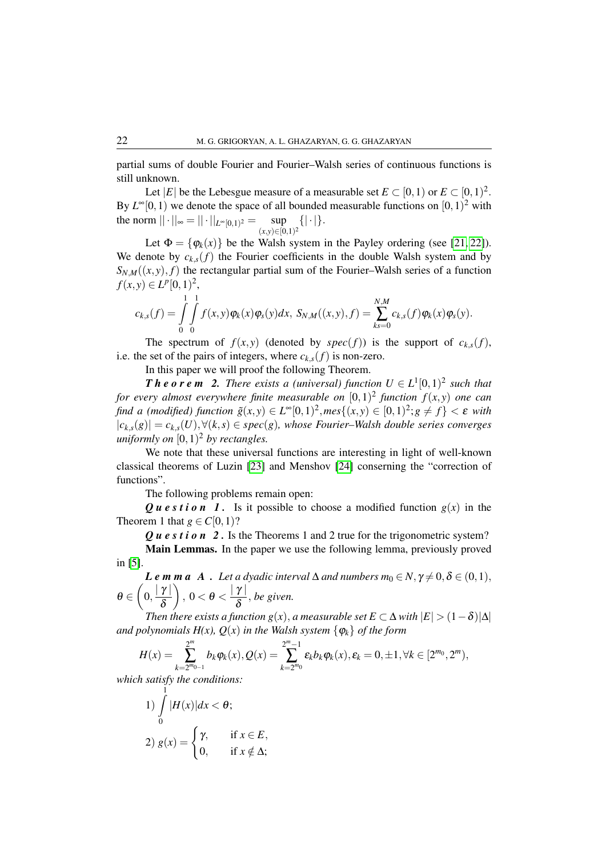partial sums of double Fourier and Fourier–Walsh series of continuous functions is still unknown.

Let |*E*| be the Lebesgue measure of a measurable set  $E \subset [0,1)$  or  $E \subset [0,1)^2$ . By  $L^{\infty}[0,1)$  we denote the space of all bounded measurable functions on  $[0,1)^2$  with the norm  $||\cdot||_{\infty} = ||\cdot||_{L^{\infty}[0,1)^2} = \text{sup}$  $\sup_{(x,y)\in[0,1)^2}\{|\cdot|\}.$ 

Let  $\Phi = {\varphi_k(x)}$  be the Walsh system in the Payley ordering (see [\[21,](#page-7-13) [22\]](#page-7-14)). We denote by  $c_{k,s}(f)$  the Fourier coefficients in the double Walsh system and by  $S_{N,M}((x, y), f)$  the rectangular partial sum of the Fourier–Walsh series of a function  $f(x, y) \in L^p[0, 1)^2$ ,

$$
c_{k,s}(f) = \int\limits_{0}^{1} \int\limits_{0}^{1} f(x,y) \varphi_k(x) \varphi_s(y) dx, S_{N,M}((x,y),f) = \sum_{ks=0}^{N,M} c_{k,s}(f) \varphi_k(x) \varphi_s(y).
$$

The spectrum of  $f(x, y)$  (denoted by  $spec(f)$ ) is the support of  $c_{k,s}(f)$ , i.e. the set of the pairs of integers, where  $c_{k,s}(f)$  is non-zero.

In this paper we will proof the following Theorem.

*T* **h e o r e m 2.** There exists a (universal) function  $U \in L^1[0,1)^2$  such that *for every almost everywhere finite measurable on* [0,1) 2 *function f*(*x*, *y*) *one can find a (modified) function*  $\tilde{g}(x, y) \in L^{\infty}[0, 1)^2$ ,  $mes\{(x, y) \in [0, 1)^2; g \neq f\} < \varepsilon$  with |*ck*,*s*(*g*)| = *ck*,*s*(*U*),∀(*k*,*s*) ∈ *spec*(*g*)*, whose Fourier–Walsh double series converges uniformly on* [0,1) <sup>2</sup> *by rectangles.*

We note that these universal functions are interesting in light of well-known classical theorems of Luzin [\[23\]](#page-7-15) and Menshov [\[24\]](#page-7-16) conserning the "correction of functions".

The following problems remain open:

*Question 1.* Is it possible to choose a modified function  $g(x)$  in the Theorem 1 that  $g \in C[0,1)$ ?

*Q u e s t i o n* 2. Is the Theorems 1 and 2 true for the trigonometric system? Main Lemmas. In the paper we use the following lemma, previously proved in [\[5\]](#page-7-4).

*Le* **m** m a A. Let a dyadic interval  $\Delta$  and numbers  $m_0 \in N$ ,  $\gamma \neq 0$ ,  $\delta \in (0,1)$ ,  $\theta \in \left(0,\frac{\mid \gamma \mid}{s}\right]$ δ  $\Big)$ ,  $0 < \theta < \frac{|\gamma|}{s}$ δ , *be given.*

*Then there exists a function g(x), a measurable set*  $E \subset \Delta$  *<i>with*  $|E| > (1 - \delta)|\Delta|$ *and polynomials H(x),*  $Q(x)$  *in the Walsh system*  $\{\varphi_k\}$  *of the form* 

$$
H(x) = \sum_{k=2^{m_0-1}}^{2^m} b_k \varphi_k(x), Q(x) = \sum_{k=2^{m_0}}^{2^m-1} \varepsilon_k b_k \varphi_k(x), \varepsilon_k = 0, \pm 1, \forall k \in [2^{m_0}, 2^m),
$$

*which satisfy the conditions:*

1) 
$$
\int_{0}^{1} |H(x)| dx < \theta;
$$
  
2) 
$$
g(x) = \begin{cases} \gamma, & \text{if } x \in E, \\ 0, & \text{if } x \notin \Delta; \end{cases}
$$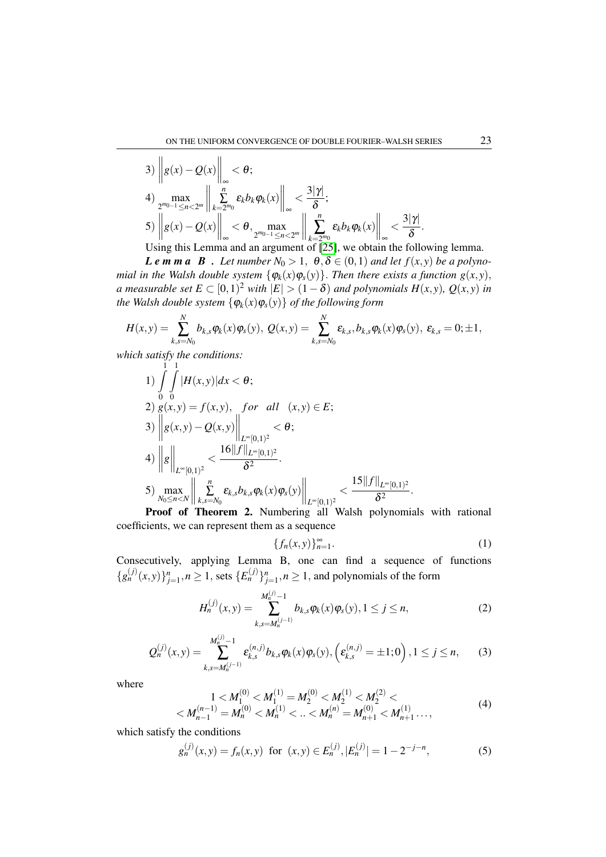3) 
$$
\left\| g(x) - Q(x) \right\|_{\infty} < \theta;
$$
  
4) 
$$
\max_{2^{m_0-1} \le n < 2^m} \left\| \sum_{k=2^{m_0}}^n \varepsilon_k b_k \varphi_k(x) \right\|_{\infty} < \frac{3|\gamma|}{\delta};
$$
  
5) 
$$
\left\| g(x) - Q(x) \right\|_{\infty} < \theta, \max_{2^{m_0-1} \le n < 2^m} \left\| \sum_{k=2^{m_0}}^n \varepsilon_k b_k \varphi_k(x) \right\|_{\infty} < \frac{3|\gamma|}{\delta}.
$$

Using this Lemma and an argument of [\[25\]](#page-7-17), we obtain the following lemma. *Le m m a B . Let number*  $N_0 > 1$ ,  $\theta, \delta \in (0,1)$  *and let*  $f(x, y)$  *be a polynomial in the Walsh double system*  $\{\varphi_k(x)\varphi_s(y)\}\$ . *Then there exists a function*  $g(x, y)$ ,

*a* measurable set  $E \subset [0,1)^2$  with  $|E| > (1 - \delta)$  and polynomials  $H(x, y)$ ,  $Q(x, y)$  in *the Walsh double system*  $\{\varphi_k(x)\varphi_s(y)\}$  *of the following form* 

$$
H(x,y) = \sum_{k,s=N_0}^{N} b_{k,s} \varphi_k(x) \varphi_s(y), \ Q(x,y) = \sum_{k,s=N_0}^{N} \varepsilon_{k,s}, b_{k,s} \varphi_k(x) \varphi_s(y), \ \varepsilon_{k,s} = 0; \pm 1,
$$

*which satisfy the conditions:*

1) 
$$
\int_{0}^{1} \int_{0}^{1} |H(x,y)| dx < \theta;
$$
  
\n2)  $g(x,y) = f(x,y),$  for all  $(x,y) \in E;$   
\n3)  $\left\| g(x,y) - Q(x,y) \right\|_{L^{\infty}[0,1)^2} < \theta;$   
\n4)  $\left\| g \right\|_{L^{\infty}[0,1)^2} < \frac{16\|f\|_{L^{\infty}[0,1)^2}}{\delta^2}.$   
\n5) 
$$
\max_{N_0 \le n < N} \left\| \sum_{k,s=N_0}^{n} \varepsilon_{k,s} b_{k,s} \varphi_k(x) \varphi_s(y) \right\|_{L^{\infty}[0,1)^2} < \frac{15\|f\|_{L^{\infty}[0,1)^2}}{\delta^2}.
$$

Proof of Theorem 2. Numbering all Walsh polynomials with rational coefficients, we can represent them as a sequence

<span id="page-3-0"></span>
$$
\{f_n(x,y)\}_{n=1}^{\infty}.
$$
 (1)

Consecutively, applying Lemma B, one can find a sequence of functions  ${g_n^{(j)}(x,y)}_{j=1}^n, n \ge 1$ , sets  ${E_n^{(j)}}_{j=1}^n, n \ge 1$ , and polynomials of the form

$$
H_n^{(j)}(x,y) = \sum_{k,s=M_n^{(j-1)}}^{M_n^{(j)}-1} b_{k,s} \varphi_k(x) \varphi_s(y), 1 \le j \le n,
$$
\n(2)

$$
Q_n^{(j)}(x,y) = \sum_{k,s=M_n^{(j-1)}}^{M_n^{(j)}-1} \varepsilon_{k,s}^{(n,j)} b_{k,s} \varphi_k(x) \varphi_s(y), \left(\varepsilon_{k,s}^{(n,j)} = \pm 1;0\right), 1 \le j \le n,
$$
 (3)

where

$$
1 < M_1^{(0)} < M_1^{(1)} = M_2^{(0)} < M_2^{(1)} < M_2^{(2)} < \\
& \lt M_{n-1}^{(n-1)} = M_n^{(0)} < M_n^{(1)} < \ldots < M_n^{(n)} = M_{n+1}^{(0)} < M_{n+1}^{(1)} \ldots,
$$
\n<sup>(4)</sup>

which satisfy the conditions

<span id="page-3-1"></span>
$$
g_n^{(j)}(x, y) = f_n(x, y) \text{ for } (x, y) \in E_n^{(j)}, |E_n^{(j)}| = 1 - 2^{-j-n},
$$
 (5)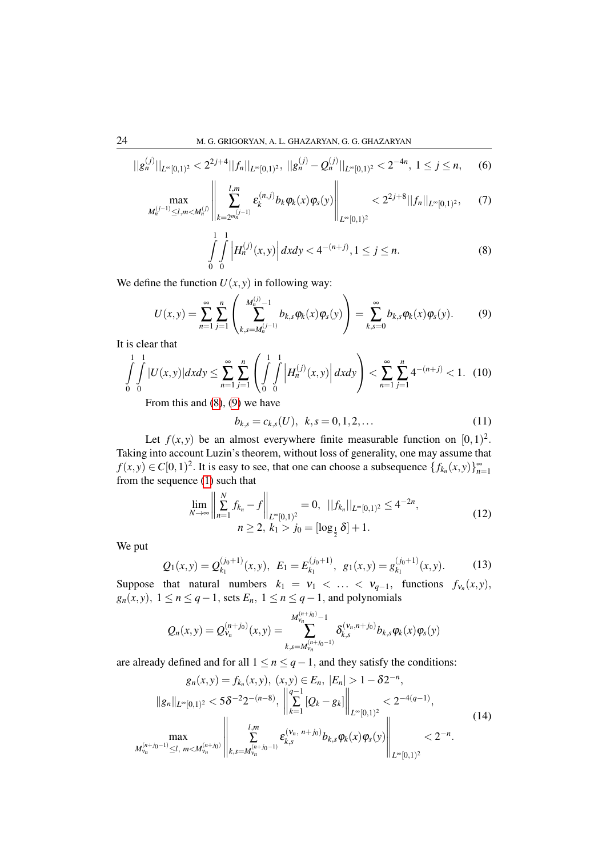<span id="page-4-4"></span>
$$
||g_n^{(j)}||_{L^{\infty}[0,1)^2} < 2^{2j+4}||f_n||_{L^{\infty}[0,1)^2}, \ ||g_n^{(j)} - Q_n^{(j)}||_{L^{\infty}[0,1)^2} < 2^{-4n}, \ 1 \le j \le n,
$$
 (6)

<span id="page-4-5"></span>
$$
\max_{M_n^{(j-1)} \le l,m < M_n^{(j)}} \left\| \sum_{k=2^{m_n^{(j-1)}}}^{l,m} \varepsilon_k^{(n,j)} b_k \varphi_k(x) \varphi_s(y) \right\|_{L^\infty[0,1)^2} < 2^{2j+8} ||f_n||_{L^\infty[0,1)^2}, \quad (7)
$$

<span id="page-4-0"></span>
$$
\int_{0}^{1} \int_{0}^{1} \left| H_{n}^{(j)}(x, y) \right| dx dy < 4^{-(n+j)}, 1 \le j \le n.
$$
 (8)

We define the function  $U(x, y)$  in following way:

<span id="page-4-1"></span>
$$
U(x,y) = \sum_{n=1}^{\infty} \sum_{j=1}^{n} \left( \sum_{k,s=M_n^{(j-1)}}^{M_n^{(j)}-1} b_{k,s} \varphi_k(x) \varphi_s(y) \right) = \sum_{k,s=0}^{\infty} b_{k,s} \varphi_k(x) \varphi_s(y).
$$
 (9)

It is clear that

$$
\int_{0}^{1} \int_{0}^{1} |U(x, y)| dx dy \le \sum_{n=1}^{\infty} \sum_{j=1}^{n} \left( \int_{0}^{1} \int_{0}^{1} \left| H_{n}^{(j)}(x, y) \right| dx dy \right) < \sum_{n=1}^{\infty} \sum_{j=1}^{n} 4^{-(n+j)} < 1. \tag{10}
$$

From this and [\(8\)](#page-4-0), [\(9\)](#page-4-1) we have

<span id="page-4-6"></span>
$$
b_{k,s} = c_{k,s}(U), \ \ k, s = 0, 1, 2, \dots \tag{11}
$$

Let  $f(x, y)$  be an almost everywhere finite measurable function on  $[0, 1)^2$ . Taking into account Luzin's theorem, without loss of generality, one may assume that *f*(*x*, *y*) ∈ *C*[0, 1)<sup>2</sup>. It is easy to see, that one can choose a subsequence { $f_{k_n}(x, y)$ } $_{n=1}^{\infty}$ from the sequence [\(1\)](#page-3-0) such that

<span id="page-4-2"></span>
$$
\lim_{N \to \infty} \left\| \sum_{n=1}^{N} f_{k_n} - f \right\|_{L^{\infty}[0,1)^2} = 0, \ \ ||f_{k_n}||_{L^{\infty}[0,1)^2} \le 4^{-2n},
$$
\n
$$
n \ge 2, \ k_1 > j_0 = [\log_{\frac{1}{2}} \delta] + 1.
$$
\n(12)

We put

$$
Q_1(x,y) = Q_{k_1}^{(j_0+1)}(x,y), \ E_1 = E_{k_1}^{(j_0+1)}, \ g_1(x,y) = g_{k_1}^{(j_0+1)}(x,y). \tag{13}
$$

Suppose that natural numbers  $k_1 = v_1 < \ldots < v_{q-1}$ , functions  $f_{v_n}(x, y)$ ,  $g_n(x, y)$ ,  $1 \le n \le q-1$ , sets  $E_n$ ,  $1 \le n \le q-1$ , and polynomials

$$
Q_n(x,y) = Q_{\nu_n}^{(n+j_0)}(x,y) = \sum_{k,s=M_{\nu_n}^{(n+j_0)-1}}^{M_{\nu_n}^{(n+j_0)-1}} \delta_{k,s}^{(\nu_n,n+j_0)} b_{k,s} \varphi_k(x) \varphi_s(y)
$$

are already defined and for all  $1 \le n \le q-1$ , and they satisfy the conditions:

<span id="page-4-3"></span>
$$
g_n(x, y) = f_{k_n}(x, y), (x, y) \in E_n, |E_n| > 1 - \delta 2^{-n},
$$
  
\n
$$
||g_n||_{L^{\infty}[0,1)^2} < 5\delta^{-2}2^{-(n-8)}, \left\| \sum_{k=1}^{q-1} [Q_k - g_k] \right\|_{L^{\infty}[0,1)^2} < 2^{-4(q-1)},
$$
  
\n
$$
\max_{M_{\nu_n}^{(n+j_0-1)} \le l, m < M_{\nu_n}^{(n+j_0)}} \left\| \sum_{k,s=M_{\nu_n}^{(n+j_0-1)}}^{l,m} \varepsilon_{k,s}^{(\nu_n, n+j_0)} b_{k,s} \varphi_k(x) \varphi_s(y) \right\|_{L^{\infty}[0,1)^2} < 2^{-n}.
$$
\n(14)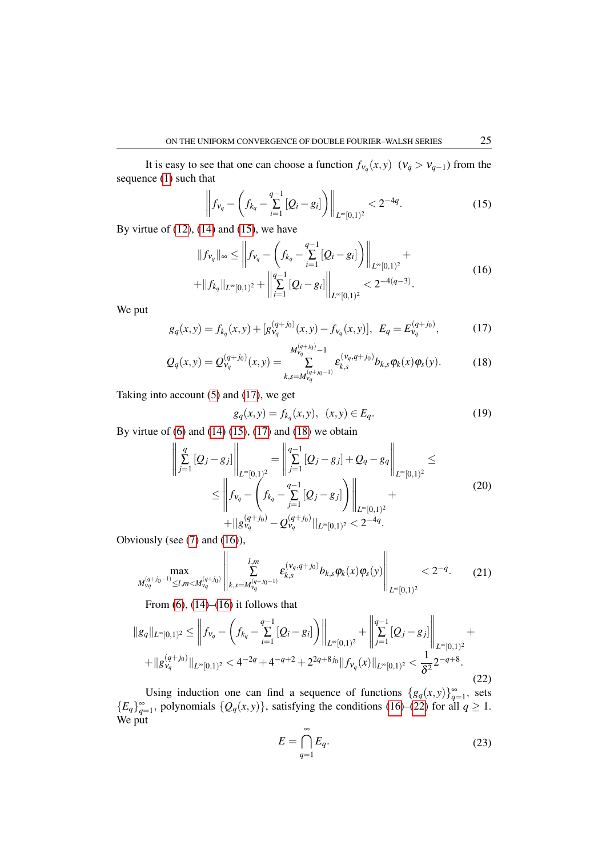It is easy to see that one can choose a function  $f_{v_q}(x, y)$  ( $v_q > v_{q-1}$ ) from the sequence [\(1\)](#page-3-0) such that

<span id="page-5-0"></span>
$$
\left\|f_{v_q} - \left(f_{k_q} - \sum_{i=1}^{q-1} [Q_i - g_i]\right)\right\|_{L^\infty[0,1)^2} < 2^{-4q}.\tag{15}
$$

By virtue of  $(12)$ ,  $(14)$  and  $(15)$ , we have

<span id="page-5-3"></span>
$$
||f_{V_q}||_{\infty} \leq \left||f_{V_q} - \left(f_{k_q} - \sum_{i=1}^{q-1} [Q_i - g_i]\right)\right||_{L^{\infty}[0,1)^2} ++ ||f_{k_q}||_{L^{\infty}[0,1)^2} + \left||\sum_{i=1}^{q-1} [Q_i - g_i]\right||_{L^{\infty}[0,1)^2} < 2^{-4(q-3)}.
$$
\n(16)

We put

<span id="page-5-1"></span>
$$
g_q(x, y) = f_{k_q}(x, y) + [g_{\nu_q}^{(q+j_0)}(x, y) - f_{\nu_q}(x, y)], \ E_q = E_{\nu_q}^{(q+j_0)}, \tag{17}
$$

<span id="page-5-2"></span>
$$
Q_q(x,y) = Q_{V_q}^{(q+j_0)}(x,y) = \sum_{k,s=M_{V_q}^{(q+j_0-1)}}^{M_{V_q}^{(q+j_0)}-1} \varepsilon_{k,s}^{(V_q,q+j_0)} b_{k,s} \varphi_k(x) \varphi_s(y).
$$
 (18)

Taking into account [\(5\)](#page-3-1) and [\(17\)](#page-5-1), we get

$$
g_q(x, y) = f_{k_q}(x, y), \ (x, y) \in E_q.
$$
 (19)

By virtue of  $(6)$  and  $(14)$   $(15)$ ,  $(17)$  and  $(18)$  we obtain

$$
\left\| \sum_{j=1}^{q} [Q_j - g_j] \right\|_{L^{\infty}[0,1)^2} = \left\| \sum_{j=1}^{q-1} [Q_j - g_j] + Q_q - g_q \right\|_{L^{\infty}[0,1)^2} \le
$$
\n
$$
\leq \left\| f_{\nu_q} - \left( f_{k_q} - \sum_{j=1}^{q-1} [Q_j - g_j] \right) \right\|_{L^{\infty}[0,1)^2} +
$$
\n
$$
+ \left\| g_{\nu_q}^{(q+j_0)} - Q_{\nu_q}^{(q+j_0)} \right\|_{L^{\infty}[0,1)^2} < 2^{-4q}.
$$
\n
$$
(20)
$$

Obviously (see [\(7\)](#page-4-5) and [\(16\)](#page-5-3)),

<span id="page-5-6"></span>
$$
\max_{M_{\nu_q}^{(q+j_0-1)} \le l,m < M_{\nu_q}^{(q+j_0)}} \left\| \sum_{k,s=M_{\nu_q}^{(q+j_0-1)}}^{l,m} \varepsilon_{k,s}^{(\nu_q, q+j_0)} b_{k,s} \varphi_k(x) \varphi_s(y) \right\|_{L^\infty[0,1)^2} < 2^{-q}.\tag{21}
$$

From  $(6)$ ,  $(14)$ – $(16)$  it follows that

<span id="page-5-4"></span>
$$
||g_q||_{L^{\infty}[0,1)^2} \leq \left||f_{v_q} - \left(f_{k_q} - \sum_{i=1}^{q-1} [Q_i - g_i] \right) \right||_{L^{\infty}[0,1)^2} + \left||\sum_{j=1}^{q-1} [Q_j - g_j] \right||_{L^{\infty}[0,1)^2} ++ ||g_{v_q}^{(q+j_0)}||_{L^{\infty}[0,1)^2} < 4^{-2q} + 4^{-q+2} + 2^{2q+8j_0} ||f_{v_q}(x)||_{L^{\infty}[0,1)^2} < \frac{1}{\delta^2} 2^{-q+8}.
$$
\n(22)

Using induction one can find a sequence of functions  $\{g_q(x, y)\}_{q=1}^{\infty}$ , sets  ${E_q}_{q=1}^{\infty}$ , polynomials  ${Q_q(x,y)}$ , satisfying the conditions [\(16\)](#page-5-3)–[\(22\)](#page-5-4) for all  $q \ge 1$ . We put

<span id="page-5-5"></span>
$$
E = \bigcap_{q=1}^{\infty} E_q.
$$
 (23)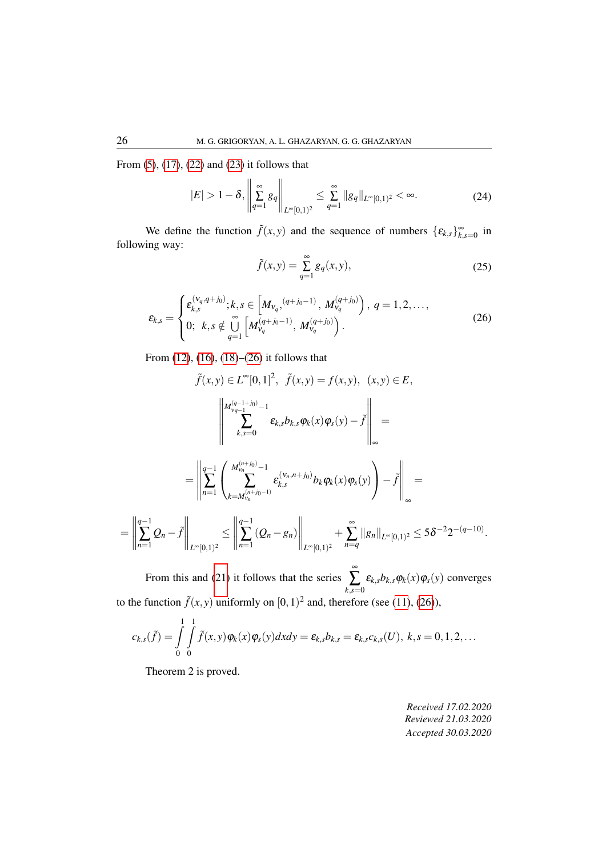From [\(5\)](#page-3-1), [\(17\)](#page-5-1), [\(22\)](#page-5-4) and [\(23\)](#page-5-5) it follows that

$$
|E| > 1 - \delta, \left\| \sum_{q=1}^{\infty} g_q \right\|_{L^{\infty}[0,1)^2} \le \sum_{q=1}^{\infty} \|g_q\|_{L^{\infty}[0,1)^2} < \infty.
$$
 (24)

We define the function  $\tilde{f}(x, y)$  and the sequence of numbers  $\{ \varepsilon_{k,s} \}_{k,s=0}^{\infty}$  in following way:

$$
\tilde{f}(x,y) = \sum_{q=1}^{\infty} g_q(x,y),
$$
\n(25)

<span id="page-6-0"></span>
$$
\varepsilon_{k,s} = \begin{cases} \varepsilon_{k,s}^{(v_q, q+j_0)}; k, s \in \left[ M_{v_q}, (q+j_0-1), M_{v_q}^{(q+j_0)} \right), q = 1, 2, ..., \\ 0; k, s \notin \bigcup_{q=1}^{\infty} \left[ M_{v_q}^{(q+j_0-1)}, M_{v_q}^{(q+j_0)} \right). \end{cases}
$$
(26)

From [\(12\)](#page-4-2), [\(16\)](#page-5-3), [\(18\)](#page-5-2)–[\(26\)](#page-6-0) it follows that

$$
\tilde{f}(x,y) \in L^{\infty}[0,1]^{2}, \quad \tilde{f}(x,y) = f(x,y), \quad (x,y) \in E,
$$
\n
$$
\left\| \begin{array}{c} M_{\nu_{q-1}}^{(q-1+j_{0})} - 1 \\ \sum_{k,s=0}^{n} k_{k,s} b_{k,s} \varphi_{k}(x) \varphi_{s}(y) - \tilde{f} \right\|_{\infty} =
$$
\n
$$
= \left\| \sum_{n=1}^{q-1} \left( \begin{array}{c} M_{\nu_{n}}^{(n+j_{0})} - 1 \\ \sum_{k=M_{\nu_{n}}^{(n+j_{0}-1)}} \varepsilon_{k,s}^{(v_{n}, n+j_{0})} b_{k} \varphi_{k}(x) \varphi_{s}(y) \end{array} \right) - \tilde{f} \right\|_{\infty} =
$$
\n
$$
= \left\| \sum_{n=1}^{q-1} Q_{n} - \tilde{f} \right\|_{L^{\infty}[0,1)^{2}} \leq \left\| \sum_{n=1}^{q-1} (Q_{n} - g_{n}) \right\|_{L^{\infty}[0,1)^{2}} + \sum_{n=q}^{\infty} ||g_{n}||_{L^{\infty}[0,1)^{2}} \leq 5\delta^{-2} 2^{-(q-10)}.
$$

From this and [\(21\)](#page-5-6) it follows that the series ∞  $\sum_{k,s=0}$  $\mathcal{E}_{k,s}b_{k,s}\varphi_k(x)\varphi_s(y)$  converges to the function  $\tilde{f}(x, y)$  uniformly on  $[0, 1)^2$  and, therefore (see [\(11\)](#page-4-6), [\(26\)](#page-6-0)),

$$
c_{k,s}(\tilde{f}) = \int_{0}^{1} \int_{0}^{1} \tilde{f}(x,y) \varphi_{k}(x) \varphi_{s}(y) dx dy = \varepsilon_{k,s} b_{k,s} = \varepsilon_{k,s} c_{k,s}(U), k,s = 0,1,2,...
$$

Theorem 2 is proved.

*Received 17.02.2020 Reviewed 21.03.2020 Accepted 30.03.2020*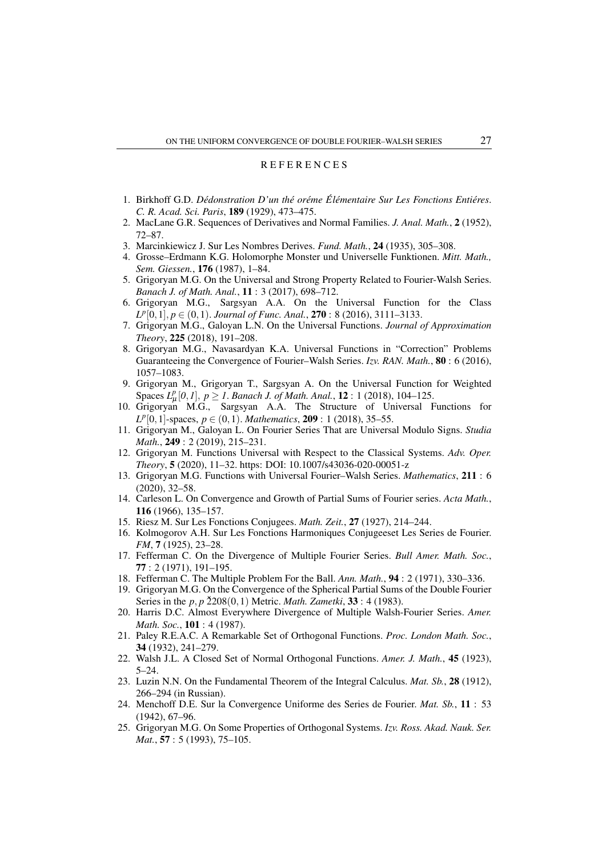#### **REFERENCES**

- <span id="page-7-0"></span>1. Birkhoff G.D. Dédonstration D'un thé oréme Élémentaire Sur Les Fonctions Entiéres. C. R. Acad. Sci. Paris, 189 (1929), 473-475.
- <span id="page-7-1"></span>2. MacLane G.R. Sequences of Derivatives and Normal Families. J. Anal. Math., 2 (1952).  $72 - 87$ .
- <span id="page-7-3"></span><span id="page-7-2"></span>3. Marcinkiewicz J. Sur Les Nombres Derives. Fund. Math., 24 (1935), 305-308.
- 4. Grosse-Erdmann K.G. Holomorphe Monster und Universelle Funktionen. Mitt. Math., Sem. Giessen., 176 (1987), 1-84.
- <span id="page-7-4"></span>5. Grigoryan M.G. On the Universal and Strong Property Related to Fourier-Walsh Series. Banach J. of Math. Anal., 11: 3 (2017), 698-712.
- 6. Grigoryan M.G., Sargsyan A.A. On the Universal Function for the Class  $L^p[0,1], p \in (0,1)$ . Journal of Func. Anal., **270**: 8 (2016), 3111-3133.
- 7. Grigoryan M.G., Galoyan L.N. On the Universal Functions. Journal of Approximation Theory, 225 (2018), 191-208.
- 8. Grigoryan M.G., Navasardyan K.A. Universal Functions in "Correction" Problems Guaranteeing the Convergence of Fourier–Walsh Series. Izv. RAN. Math., 80: 6 (2016), 1057-1083.
- 9. Grigoryan M., Grigoryan T., Sargsyan A. On the Universal Function for Weighted Spaces  $L_u^p[0,1]$ ,  $p > 1$ . Banach J. of Math. Anal., **12**: 1 (2018), 104–125.
- 10. Grigoryan M.G., Sargsyan A.A. The Structure of Universal Functions for  $L^p[0,1]$ -spaces,  $p \in (0,1)$ . Mathematics, **209** : 1 (2018), 35–55.
- 11. Grigoryan M., Galoyan L. On Fourier Series That are Universal Modulo Signs. Studia Math., 249: 2 (2019), 215-231.
- 12. Grigoryan M. Functions Universal with Respect to the Classical Systems. Adv. Oper. *Theory*, **5** (2020), 11–32. https: DOI: 10.1007/s43036-020-00051-z
- <span id="page-7-5"></span>13. Grigoryan M.G. Functions with Universal Fourier–Walsh Series. Mathematics, 211: 6  $(2020), 32 - 58.$
- <span id="page-7-6"></span>14. Carleson L. On Convergence and Growth of Partial Sums of Fourier series. Acta Math., 116 (1966), 135-157.
- <span id="page-7-8"></span><span id="page-7-7"></span>15. Riesz M. Sur Les Fonctions Conjugees. Math. Zeit., 27 (1927), 214–244.
- 16. Kolmogorov A.H. Sur Les Fonctions Harmoniques Conjugeeset Les Series de Fourier. FM, 7 (1925), 23-28.
- <span id="page-7-9"></span>17. Fefferman C. On the Divergence of Multiple Fourier Series. Bull Amer. Math. Soc.,  $77:2(1971), 191-195.$
- <span id="page-7-11"></span><span id="page-7-10"></span>18. Fefferman C. The Multiple Problem For the Ball. Ann. Math., 94: 2 (1971), 330–336.
- 19. Grigoryan M.G. On the Convergence of the Spherical Partial Sums of the Double Fourier Series in the  $p, p \, \tilde{2}208(0,1)$  Metric. *Math. Zametki*, 33 : 4 (1983).
- <span id="page-7-12"></span>20. Harris D.C. Almost Everywhere Divergence of Multiple Walsh-Fourier Series. Amer. *Math. Soc.*, **101** : 4 (1987).
- <span id="page-7-13"></span>21. Paley R.E.A.C. A Remarkable Set of Orthogonal Functions. Proc. London Math. Soc., 34 (1932), 241-279.
- <span id="page-7-14"></span>22. Walsh J.L. A Closed Set of Normal Orthogonal Functions. Amer. J. Math., 45 (1923),  $5 - 24$ .
- <span id="page-7-15"></span>23. Luzin N.N. On the Fundamental Theorem of the Integral Calculus. *Mat. Sb.*, 28 (1912), 266–294 (in Russian).
- <span id="page-7-16"></span>24. Menchoff D.E. Sur la Convergence Uniforme des Series de Fourier. Mat. Sb., 11 : 53  $(1942), 67-96.$
- <span id="page-7-17"></span>25. Grigoryan M.G. On Some Properties of Orthogonal Systems. Izv. Ross. Akad. Nauk. Ser. Mat., 57: 5 (1993), 75-105.